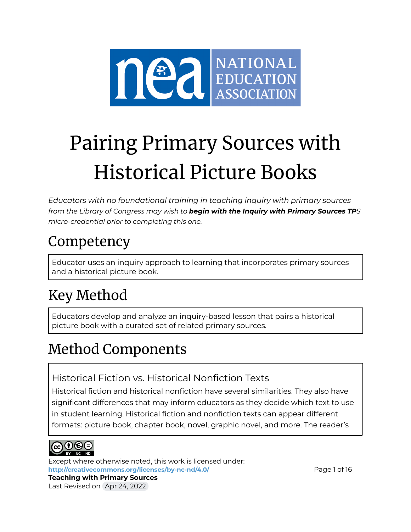

# Pairing Primary Sources with Historical Picture Books

*Educators with no foundational training in teaching inquiry with primary sources from the Library of Congress may wish to begin with the Inquiry with Primary Sources TPS micro-credential prior to completing this one.*

### **Competency**

Educator uses an inquiry approach to learning that incorporates primary sources and a historical picture book.

## Key Method

Educators develop and analyze an inquiry-based lesson that pairs a historical picture book with a curated set of related primary sources.

### Method Components

#### Historical Fiction vs. Historical Nonfiction Texts

Historical fiction and historical nonfiction have several similarities. They also have significant differences that may inform educators as they decide which text to use in student learning. Historical fiction and nonfiction texts can appear different formats: picture book, chapter book, novel, graphic novel, and more. The reader's



Except where otherwise noted, this work is licensed under: <http://creativecommons.org/licenses/by-nc-nd/4.0/> **Page 1 of 16 Teaching with Primary Sources**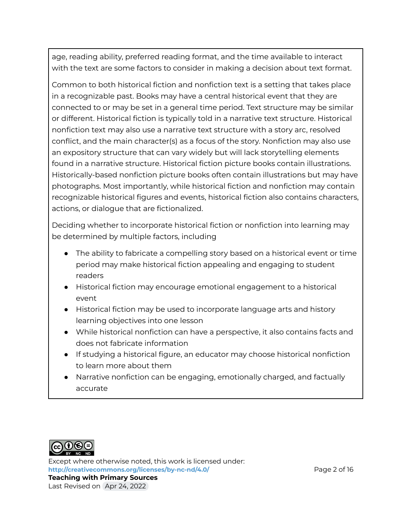age, reading ability, preferred reading format, and the time available to interact with the text are some factors to consider in making a decision about text format.

Common to both historical fiction and nonfiction text is a setting that takes place in a recognizable past. Books may have a central historical event that they are connected to or may be set in a general time period. Text structure may be similar or different. Historical fiction is typically told in a narrative text structure. Historical nonfiction text may also use a narrative text structure with a story arc, resolved conflict, and the main character(s) as a focus of the story. Nonfiction may also use an expository structure that can vary widely but will lack storytelling elements found in a narrative structure. Historical fiction picture books contain illustrations. Historically-based nonfiction picture books often contain illustrations but may have photographs. Most importantly, while historical fiction and nonfiction may contain recognizable historical figures and events, historical fiction also contains characters, actions, or dialogue that are fictionalized.

Deciding whether to incorporate historical fiction or nonfiction into learning may be determined by multiple factors, including

- The ability to fabricate a compelling story based on a historical event or time period may make historical fiction appealing and engaging to student readers
- Historical fiction may encourage emotional engagement to a historical event
- Historical fiction may be used to incorporate language arts and history learning objectives into one lesson
- While historical nonfiction can have a perspective, it also contains facts and does not fabricate information
- If studying a historical figure, an educator may choose historical nonfiction to learn more about them
- Narrative nonfiction can be engaging, emotionally charged, and factually accurate



Except where otherwise noted, this work is licensed under: **<http://creativecommons.org/licenses/by-nc-nd/4.0/>** Page 2 of 16 **Teaching with Primary Sources**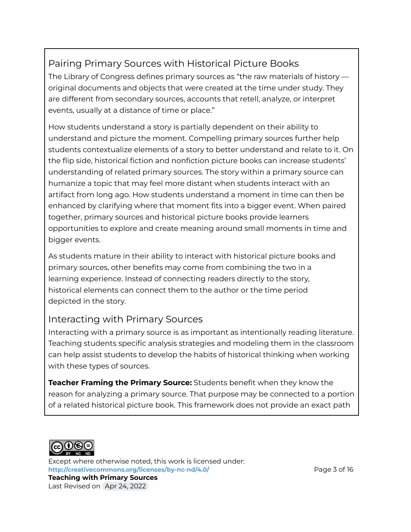#### Pairing Primary Sources with Historical Picture Books

The Library of Congress defines primary sources as "the raw materials of history original documents and objects that were created at the time under study. They are different from secondary sources, accounts that retell, analyze, or interpret events, usually at a distance of time or place."

How students understand a story is partially dependent on their ability to understand and picture the moment. Compelling primary sources further help students contextualize elements of a story to better understand and relate to it. On the flip side, historical fiction and nonfiction picture books can increase students' understanding of related primary sources. The story within a primary source can humanize a topic that may feel more distant when students interact with an artifact from long ago. How students understand a moment in time can then be enhanced by clarifying where that moment fits into a bigger event. When paired together, primary sources and historical picture books provide learners opportunities to explore and create meaning around small moments in time and bigger events.

As students mature in their ability to interact with historical picture books and primary sources, other benefits may come from combining the two in a learning experience. Instead of connecting readers directly to the story, historical elements can connect them to the author or the time period depicted in the story.

#### Interacting with Primary Sources

Interacting with a primary source is as important as intentionally reading literature. Teaching students specific analysis strategies and modeling them in the classroom can help assist students to develop the habits of historical thinking when working with these types of sources.

**Teacher Framing the Primary Source:** Students benefit when they know the reason for analyzing a primary source. That purpose may be connected to a portion of a related historical picture book. This framework does not provide an exact path



Except where otherwise noted, this work is licensed under: **<http://creativecommons.org/licenses/by-nc-nd/4.0/>** Page 3 of 16 **Teaching with Primary Sources** Last Revised on Apr 24, 2022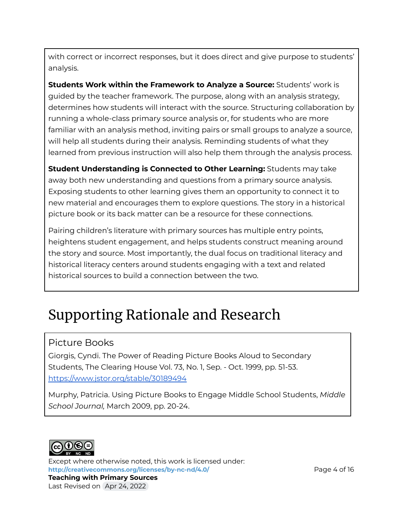with correct or incorrect responses, but it does direct and give purpose to students' analysis.

**Students Work within the Framework to Analyze a Source:** Students' work is guided by the teacher framework. The purpose, along with an analysis strategy, determines how students will interact with the source. Structuring collaboration by running a whole-class primary source analysis or, for students who are more familiar with an analysis method, inviting pairs or small groups to analyze a source, will help all students during their analysis. Reminding students of what they learned from previous instruction will also help them through the analysis process.

**Student Understanding is Connected to Other Learning:** Students may take away both new understanding and questions from a primary source analysis. Exposing students to other learning gives them an opportunity to connect it to new material and encourages them to explore questions. The story in a historical picture book or its back matter can be a resource for these connections.

Pairing children's literature with primary sources has multiple entry points, heightens student engagement, and helps students construct meaning around the story and source. Most importantly, the dual focus on traditional literacy and historical literacy centers around students engaging with a text and related historical sources to build a connection between the two.

### Supporting Rationale and Research

#### Picture Books

Giorgis, Cyndi. The Power of Reading Picture Books Aloud to Secondary Students, The Clearing House Vol. 73, No. 1, Sep. - Oct. 1999, pp. 51-53. <https://www.jstor.org/stable/30189494>

Murphy, Patricia. Using Picture Books to Engage Middle School Students, *Middle School Journal,* March 2009, pp. 20-24.



Except where otherwise noted, this work is licensed under: **<http://creativecommons.org/licenses/by-nc-nd/4.0/>** Page 4 of 16 **Teaching with Primary Sources**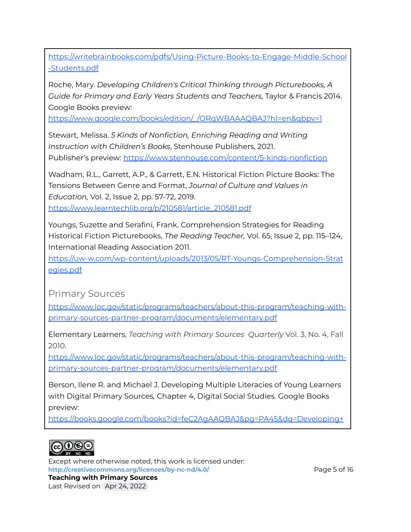[https://writebrainbooks.com/pdfs/Using-Picture-Books-to-Engage-Middle-School](https://writebrainbooks.com/pdfs/Using-Picture-Books-to-Engage-Middle-School-Students.pdf) [-Students.pdf](https://writebrainbooks.com/pdfs/Using-Picture-Books-to-Engage-Middle-School-Students.pdf)

Roche, Mary. *Developing Children's Critical Thinking through Picturebooks, A Guide for Primary and Early Years Students and Teachers,* Taylor & Francis 2014. Google Books preview:

[https://www.google.com/books/edition/\\_](https://www.google.com/books/edition/_/ORgWBAAAQBAJ?hl=en&gbpv=1) /ORgWBAAAQBAJ?hl=en&gbpv=1

Stewart, Melissa. *5 Kinds of Nonfiction, Enriching Reading and Writing Instruction with Children's Books*, Stenhouse Publishers, 2021. Publisher's preview: <https://www.stenhouse.com/content/5-kinds-nonfiction>

Wadham, R.L., Garrett, A.P., & Garrett, E.N. Historical Fiction Picture Books: The Tensions Between Genre and Format, *Journal of Culture and Values in Education,* Vol. 2, Issue 2, pp. 57-72, 2019. [https://www.learntechlib.org/p/210581/article\\_210581.pdf](https://www.learntechlib.org/p/210581/article_210581.pdf)

Youngs, Suzette and Serafini, Frank. Comprehension Strategies for Reading Historical Fiction Picturebooks, *The Reading Teacher,* Vol. 65, Issue 2, pp. 115–124, International Reading Association 2011.

[https://uw-w.com/wp-content/uploads/2013/05/RT-Youngs-Comprehension-Strat](https://uw-w.com/wp-content/uploads/2013/05/RT-Youngs-Comprehension-Strategies.pdf) [egies.pdf](https://uw-w.com/wp-content/uploads/2013/05/RT-Youngs-Comprehension-Strategies.pdf)

Primary Sources

[https://www.loc.gov/static/programs/teachers/about-this-program/teaching-with](https://www.loc.gov/static/programs/teachers/about-this-program/teaching-with-primary-sources-partner-program/documents/elementary.pdf)[primary-sources-partner-program/documents/elementary.pdf](https://www.loc.gov/static/programs/teachers/about-this-program/teaching-with-primary-sources-partner-program/documents/elementary.pdf)

Elementary Learners, *Teaching with Primary Sources Quarterly* Vol. 3, No. 4, Fall 2010.

[https://www.loc.gov/static/programs/teachers/about-this-program/teaching-with](https://www.loc.gov/static/programs/teachers/about-this-program/teaching-with-primary-sources-partner-program/documents/elementary.pdf)[primary-sources-partner-program/documents/elementary.pdf](https://www.loc.gov/static/programs/teachers/about-this-program/teaching-with-primary-sources-partner-program/documents/elementary.pdf)

Berson, Ilene R. and Michael J. Developing Multiple Literacies of Young Learners with Digital Primary Sources*,* Chapter 4, Digital Social Studies. Google Books preview:

[https://books.google.com/books?id=feC2AgAAQBAJ&pg=PA45&dq=Developing+](https://books.google.com/books?id=feC2AgAAQBAJ&pg=PA45&dq=Developing+Multiple+Literacies+of+Young+Learners+with+Digital+Primary+Sources&hl=en&newbks=1&newbks_redir=1&sa=X&ved=2ahUKEwi9x8yR7MP1AhWEMH0KHSp6DloQuwV6BAgGEAY)



Except where otherwise noted, this work is licensed under: **<http://creativecommons.org/licenses/by-nc-nd/4.0/>** Page 5 of 16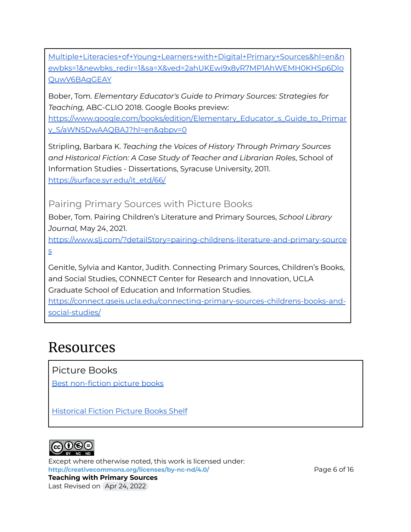[Multiple+Literacies+of+Young+Learners+with+Digital+Primary+Sources&hl=en&n](https://books.google.com/books?id=feC2AgAAQBAJ&pg=PA45&dq=Developing+Multiple+Literacies+of+Young+Learners+with+Digital+Primary+Sources&hl=en&newbks=1&newbks_redir=1&sa=X&ved=2ahUKEwi9x8yR7MP1AhWEMH0KHSp6DloQuwV6BAgGEAY) [ewbks=1&newbks\\_redir=1&sa=X&ved=2ahUKEwi9x8yR7MP1AhWEMH0KHSp6Dlo](https://books.google.com/books?id=feC2AgAAQBAJ&pg=PA45&dq=Developing+Multiple+Literacies+of+Young+Learners+with+Digital+Primary+Sources&hl=en&newbks=1&newbks_redir=1&sa=X&ved=2ahUKEwi9x8yR7MP1AhWEMH0KHSp6DloQuwV6BAgGEAY) [QuwV6BAgGEAY](https://books.google.com/books?id=feC2AgAAQBAJ&pg=PA45&dq=Developing+Multiple+Literacies+of+Young+Learners+with+Digital+Primary+Sources&hl=en&newbks=1&newbks_redir=1&sa=X&ved=2ahUKEwi9x8yR7MP1AhWEMH0KHSp6DloQuwV6BAgGEAY)

Bober, Tom. *Elementary Educator's Guide to Primary Sources: Strategies for Teaching,* ABC-CLIO 2018. Google Books preview:

[https://www.google.com/books/edition/Elementary\\_Educator\\_s\\_Guide\\_to\\_Primar](https://www.google.com/books/edition/Elementary_Educator_s_Guide_to_Primary_S/aWN5DwAAQBAJ?hl=en&gbpv=0) [y\\_S/aWN5DwAAQBAJ?hl=en&gbpv=0](https://www.google.com/books/edition/Elementary_Educator_s_Guide_to_Primary_S/aWN5DwAAQBAJ?hl=en&gbpv=0)

Stripling, Barbara K. *Teaching the Voices of History Through Primary Sources and Historical Fiction: A Case Study of Teacher and Librarian Roles*, School of Information Studies - Dissertations, Syracuse University, 2011. [https://surface.syr.edu/it\\_etd/66/](https://surface.syr.edu/it_etd/66/)

Pairing Primary Sources with Picture Books

Bober, Tom. Pairing Children's Literature and Primary Sources, *School Library Journal,* May 24, 2021.

[https://www.slj.com/?detailStory=pairing-childrens-literature-and-primary-source](https://www.slj.com/?detailStory=pairing-childrens-literature-and-primary-sources) [s](https://www.slj.com/?detailStory=pairing-childrens-literature-and-primary-sources)

Genitle, Sylvia and Kantor, Judith. Connecting Primary Sources, Children's Books, and Social Studies, CONNECT Center for Research and Innovation, UCLA Graduate School of Education and Information Studies.

[https://connect.gseis.ucla.edu/connecting-primary-sources-childrens-books-and](https://connect.gseis.ucla.edu/connecting-primary-sources-childrens-books-and-social-studies/)[social-studies/](https://connect.gseis.ucla.edu/connecting-primary-sources-childrens-books-and-social-studies/)

### Resources

Picture Books

Best [non-fiction](https://www.goodreads.com/list/show/11433.Best_non_fiction_picture_books) picture books

[Historical](https://www.goodreads.com/shelf/show/historical-fiction-picture-books) Fiction Picture Books Shelf



Except where otherwise noted, this work is licensed under: **<http://creativecommons.org/licenses/by-nc-nd/4.0/>** Page 6 of 16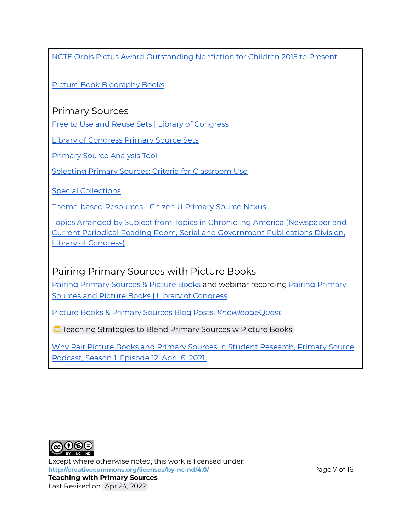NCTE Orbis Pictus Award [Outstanding](https://ncte.org/wp-content/uploads/2022/01/OP_Winners_2015-Present.pdf) Nonfiction for Children 2015 to Present

Picture Book [Biography](https://www.goodreads.com/shelf/show/picture-book-biography) Books

#### Primary Sources

Free to Use and Reuse Sets | Library of [Congress](https://www.loc.gov/free-to-use/)

Library of [Congress](https://www.loc.gov/programs/teachers/classroom-materials/primary-source-sets) Primary Source Sets

Primary Source [Analysis](https://www.loc.gov/static/programs/teachers/getting-started-with-primary-sources/documents/Primary_Source_Analysis_Tool_LOC.pdf) Tool

Selecting Primary Sources: Criteria for [Classroom](https://primarysourcenexus.org/2012/04/selecting-primary-sources-criteria-to-consider/) Use

Special [Collections](https://americanarchive.org/special_collections)

[Theme-based](https://primarysourcenexus.org/primary-source-collections/themed-based-resources/) Resources - Citizen U Primary Source Nexus

Topics Arranged by Subject from Topics in Chronicling America [\(Newspaper](https://www.loc.gov/rr/news/topics/topicsSubject.html) and Current Periodical Reading Room, Serial and [Government](https://www.loc.gov/rr/news/topics/topicsSubject.html) Publications Division, Library of [Congress\)](https://www.loc.gov/rr/news/topics/topicsSubject.html)

#### Pairing Primary Sources with Picture Books

Pairing [Primary](https://www.loc.gov/item/webcast-9269/) Sources & Picture Books and webinar recording Pairing Primary Sources and Picture Books | Library of [Congress](https://www.loc.gov/item/webcast-9269/)

Picture Books & Primary Sources Blog Posts, *[KnowledgeQuest](https://knowledgequest.aasl.org/author/tbober/)*

**□** Teaching [Strategies](https://docs.google.com/presentation/d/1BG4jJe-Qg8-VyqxT4tABiIBeoJ5w24YyKG5yk8gKUOE/edit#slide=id.p2) to Blend Primary Sources w Picture Books

Why Pair Picture Books and Primary Sources in Student [Research,](https://podcasts.apple.com/us/podcast/s1e12-why-pair-picture-books-and-primary-sources-in/id1530140365?i=1000515953602) Primary Source [Podcast,](https://podcasts.apple.com/us/podcast/s1e12-why-pair-picture-books-and-primary-sources-in/id1530140365?i=1000515953602) Season 1, Episode 12, April 6, 2021.



Except where otherwise noted, this work is licensed under: **<http://creativecommons.org/licenses/by-nc-nd/4.0/>** Page 7 of 16 **Teaching with Primary Sources**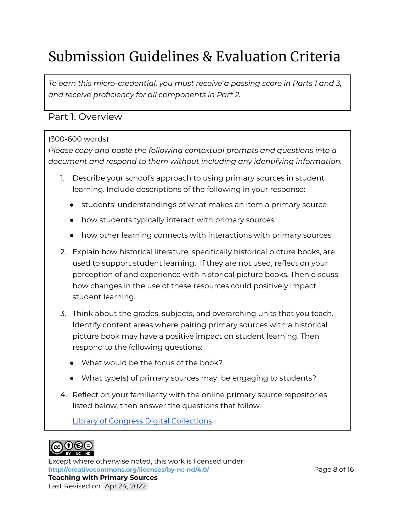## Submission Guidelines & Evaluation Criteria

*To earn this micro-credential, you must receive a passing score in Parts 1 and 3, and receive proficiency for all components in Part 2.*

#### Part 1. Overview

#### (300-600 words)

*Please copy and paste the following contextual prompts and questions into a document and respond to them without including any identifying information.*

- 1. Describe your school's approach to using primary sources in student learning. Include descriptions of the following in your response:
	- students' understandings of what makes an item a primary source
	- how students typically interact with primary sources
	- how other learning connects with interactions with primary sources
- 2. Explain how historical literature, specifically historical picture books, are used to support student learning. If they are not used, reflect on your perception of and experience with historical picture books. Then discuss how changes in the use of these resources could positively impact student learning.
- 3. Think about the grades, subjects, and overarching units that you teach. Identify content areas where pairing primary sources with a historical picture book may have a positive impact on student learning. Then respond to the following questions:
	- What would be the focus of the book?
	- What type(s) of primary sources may be engaging to students?
- 4. Reflect on your familiarity with the online primary source repositories listed below, then answer the questions that follow.

Library of Congress Digital [Collections](https://www.loc.gov/collections/)



Except where otherwise noted, this work is licensed under: **<http://creativecommons.org/licenses/by-nc-nd/4.0/>** Page 8 of 16 **Teaching with Primary Sources**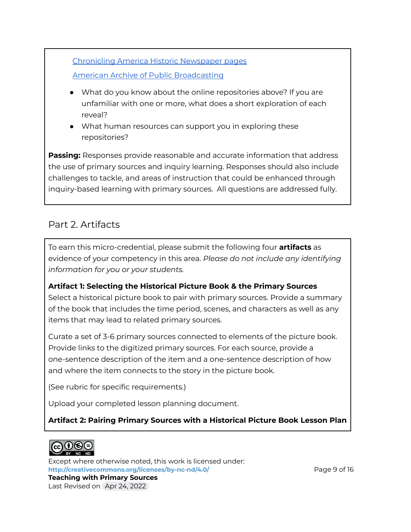[Chronicling](https://chroniclingamerica.loc.gov/) America Historic Newspaper pages American Archive of Public [Broadcasting](https://americanarchive.org/)

- What do you know about the online repositories above? If you are unfamiliar with one or more, what does a short exploration of each reveal?
- What human resources can support you in exploring these repositories?

**Passing:** Responses provide reasonable and accurate information that address the use of primary sources and inquiry learning. Responses should also include challenges to tackle, and areas of instruction that could be enhanced through inquiry-based learning with primary sources. All questions are addressed fully.

#### Part 2. Artifacts

To earn this micro-credential, please submit the following four **artifacts** as evidence of your competency in this area. *Please do not include any identifying information for you or your students.*

**Artifact 1: Selecting the Historical Picture Book & the Primary Sources** Select a historical picture book to pair with primary sources. Provide a summary of the book that includes the time period, scenes, and characters as well as any items that may lead to related primary sources.

Curate a set of 3-6 primary sources connected to elements of the picture book. Provide links to the digitized primary sources. For each source, provide a one-sentence description of the item and a one-sentence description of how and where the item connects to the story in the picture book.

(See rubric for specific requirements.)

Upload your completed lesson planning document.

#### **Artifact 2: Pairing Primary Sources with a Historical Picture Book Lesson Plan**



Except where otherwise noted, this work is licensed under: **<http://creativecommons.org/licenses/by-nc-nd/4.0/>** Page 9 of 16 **Teaching with Primary Sources**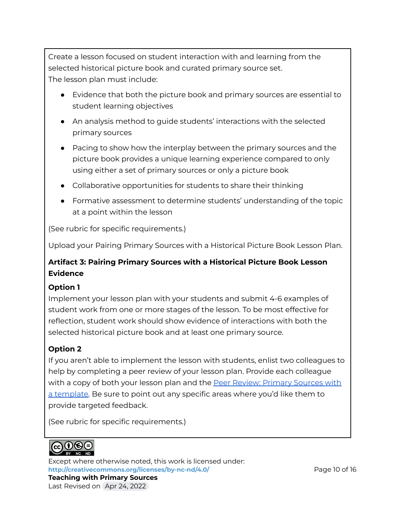Create a lesson focused on student interaction with and learning from the selected historical picture book and curated primary source set. The lesson plan must include:

- Evidence that both the picture book and primary sources are essential to student learning objectives
- An analysis method to guide students' interactions with the selected primary sources
- Pacing to show how the interplay between the primary sources and the picture book provides a unique learning experience compared to only using either a set of primary sources or only a picture book
- Collaborative opportunities for students to share their thinking
- Formative assessment to determine students' understanding of the topic at a point within the lesson

(See rubric for specific requirements.)

Upload your Pairing Primary Sources with a Historical Picture Book Lesson Plan.

#### **Artifact 3: Pairing Primary Sources with a Historical Picture Book Lesson Evidence**

#### **Option 1**

Implement your lesson plan with your students and submit 4-6 examples of student work from one or more stages of the lesson. To be most effective for reflection, student work should show evidence of interactions with both the selected historical picture book and at least one primary source.

#### **Option 2**

If you aren't able to implement the lesson with students, enlist two colleagues to help by completing a peer review of your lesson plan. Provide each colleague with a copy of both your lesson plan and the Peer Review: [Primary](https://docs.google.com/document/d/14OwcIzGB2wy54tRAEnX9BaB61YQwfZCbz4CS-p9vSeo/view) Sources with a [template.](https://docs.google.com/document/d/14OwcIzGB2wy54tRAEnX9BaB61YQwfZCbz4CS-p9vSeo/view) Be sure to point out any specific areas where you'd like them to provide targeted feedback.

(See rubric for specific requirements.)



Except where otherwise noted, this work is licensed under: <http://creativecommons.org/licenses/by-nc-nd/4.0/> **Page 10 of 16 Teaching with Primary Sources**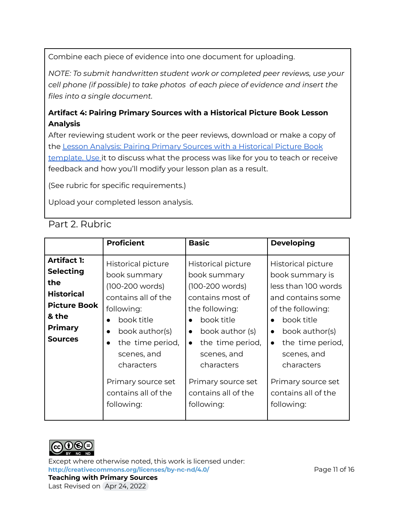Combine each piece of evidence into one document for uploading.

*NOTE: To submit handwritten student work or completed peer reviews, use your cell phone (if possible) to take photos of each piece of evidence and insert the files into a single document.*

#### **Artifact 4: Pairing Primary Sources with a Historical Picture Book Lesson Analysis**

After reviewing student work or the peer reviews, download or make a copy of the Lesson Analysis: Pairing Primary Sources with a [Historical](https://docs.google.com/document/d/1WJvyjql1LnmFJG357yvhLXkR8WtQ8qbCJCZNj5vNs3Q/edit?usp=sharing) Picture Book [template](https://docs.google.com/document/d/1WJvyjql1LnmFJG357yvhLXkR8WtQ8qbCJCZNj5vNs3Q/edit?usp=sharing). Use it to discuss what the process was like for you to teach or receive feedback and how you'll modify your lesson plan as a result.

(See rubric for specific requirements.)

Upload your completed lesson analysis.

| Part 2. Rubric |  |
|----------------|--|
|                |  |

|                                                                                                                                        | <b>Proficient</b>                                                                                                                                                                                                                                   | <b>Basic</b>                                                                                                                                                                                                                                                              | <b>Developing</b>                                                                                                                                                                                                                                                            |
|----------------------------------------------------------------------------------------------------------------------------------------|-----------------------------------------------------------------------------------------------------------------------------------------------------------------------------------------------------------------------------------------------------|---------------------------------------------------------------------------------------------------------------------------------------------------------------------------------------------------------------------------------------------------------------------------|------------------------------------------------------------------------------------------------------------------------------------------------------------------------------------------------------------------------------------------------------------------------------|
| <b>Artifact 1:</b><br><b>Selecting</b><br>the<br><b>Historical</b><br><b>Picture Book</b><br>& the<br><b>Primary</b><br><b>Sources</b> | Historical picture<br>book summary<br>(100-200 words)<br>contains all of the<br>following:<br>book title<br>book author(s)<br>$\bullet$<br>the time period,<br>scenes, and<br>characters<br>Primary source set<br>contains all of the<br>following: | <b>Historical picture</b><br>book summary<br>(100-200 words)<br>contains most of<br>the following:<br>book title<br>book author (s)<br>$\bullet$<br>the time period,<br>$\bullet$<br>scenes, and<br>characters<br>Primary source set<br>contains all of the<br>following: | Historical picture<br>book summary is<br>less than 100 words<br>and contains some<br>of the following:<br>book title<br>book author(s)<br>$\bullet$<br>the time period,<br>$\bullet$<br>scenes, and<br>characters<br>Primary source set<br>contains all of the<br>following: |



Except where otherwise noted, this work is licensed under: <http://creativecommons.org/licenses/by-nc-nd/4.0/><br>
Page 11 of 16

**Teaching with Primary Sources** Last Revised on Apr 24, 2022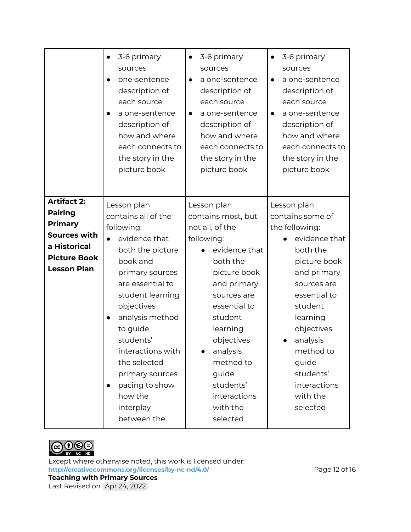|                                                                                                                                     | 3-6 primary<br>sources<br>one-sentence<br>description of<br>each source<br>a one-sentence<br>description of<br>how and where<br>each connects to<br>the story in the<br>picture book                                                                                                                                                                 | 3-6 primary<br>$\bullet$<br>sources<br>a one-sentence<br>description of<br>each source<br>a one-sentence<br>description of<br>how and where<br>each connects to<br>the story in the<br>picture book                                                                                       | 3-6 primary<br>$\bullet$<br>sources<br>a one-sentence<br>$\bullet$<br>description of<br>each source<br>a one-sentence<br>description of<br>how and where<br>each connects to<br>the story in the<br>picture book                                                         |
|-------------------------------------------------------------------------------------------------------------------------------------|------------------------------------------------------------------------------------------------------------------------------------------------------------------------------------------------------------------------------------------------------------------------------------------------------------------------------------------------------|-------------------------------------------------------------------------------------------------------------------------------------------------------------------------------------------------------------------------------------------------------------------------------------------|--------------------------------------------------------------------------------------------------------------------------------------------------------------------------------------------------------------------------------------------------------------------------|
| <b>Artifact 2:</b><br><b>Pairing</b><br><b>Primary</b><br>Sources with<br>a Historical<br><b>Picture Book</b><br><b>Lesson Plan</b> | Lesson plan<br>contains all of the<br>following:<br>evidence that<br>both the picture<br>book and<br>primary sources<br>are essential to<br>student learning<br>objectives<br>analysis method<br>to guide<br>students'<br>interactions with<br>the selected<br>primary sources<br>pacing to show<br>$\bullet$<br>how the<br>interplay<br>between the | Lesson plan<br>contains most, but<br>not all, of the<br>following:<br>evidence that<br>both the<br>picture book<br>and primary<br>sources are<br>essential to<br>student<br>learning<br>objectives<br>analysis<br>method to<br>guide<br>students'<br>interactions<br>with the<br>selected | Lesson plan<br>contains some of<br>the following:<br>evidence that<br>both the<br>picture book<br>and primary<br>sources are<br>essential to<br>student<br>learning<br>objectives<br>analysis<br>method to<br>guide<br>students'<br>interactions<br>with the<br>selected |



Except where otherwise noted, this work is licensed under: <http://creativecommons.org/licenses/by-nc-nd/4.0/><br>
Page 12 of 16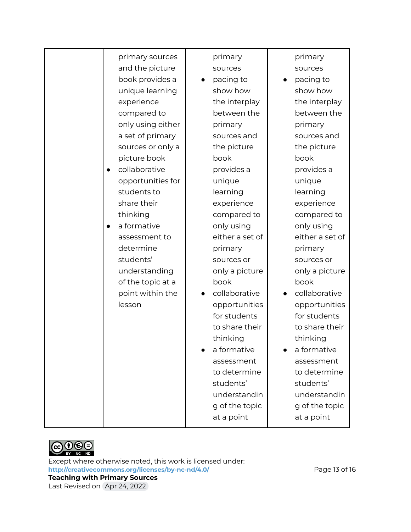| primary sources            | primary         | primary         |
|----------------------------|-----------------|-----------------|
| and the picture            | sources         | sources         |
| book provides a            | pacing to       | pacing to       |
| unique learning            | show how        | show how        |
| experience                 | the interplay   | the interplay   |
| compared to                | between the     | between the     |
| only using either          | primary         | primary         |
| a set of primary           | sources and     | sources and     |
| sources or only a          | the picture     | the picture     |
| picture book               | book            | book            |
| collaborative<br>$\bullet$ | provides a      | provides a      |
| opportunities for          | unique          | unique          |
| students to                | learning        | learning        |
| share their                | experience      | experience      |
| thinking                   | compared to     | compared to     |
| a formative<br>$\bullet$   | only using      | only using      |
| assessment to              | either a set of | either a set of |
| determine                  | primary         | primary         |
| students'                  | sources or      | sources or      |
| understanding              | only a picture  | only a picture  |
| of the topic at a          | book            | book            |
| point within the           | collaborative   | collaborative   |
| lesson                     | opportunities   | opportunities   |
|                            | for students    | for students    |
|                            | to share their  | to share their  |
|                            | thinking        | thinking        |
|                            | a formative     | a formative     |
|                            | assessment      | assessment      |
|                            | to determine    | to determine    |
|                            | students'       | students'       |
|                            | understandin    | understandin    |
|                            | g of the topic  | g of the topic  |
|                            | at a point      | at a point      |
|                            |                 |                 |



Except where otherwise noted, this work is licensed under: <http://creativecommons.org/licenses/by-nc-nd/4.0/><br>
Page 13 of 16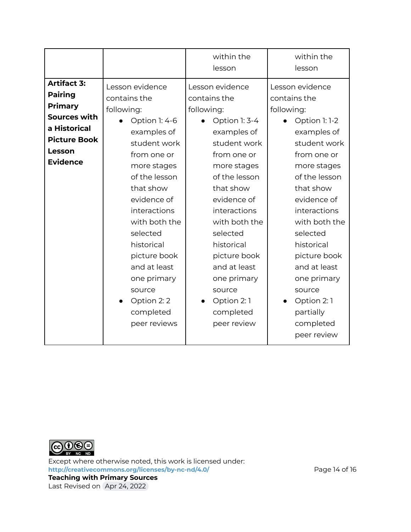|                                                                                                                                                   |                                                                                                                                                                                                                                                                                                                                         | within the<br>lesson                                                                                                                                                                                                                                                                                                                   | within the<br>lesson                                                                                                                                                                                                                                                                                                                               |
|---------------------------------------------------------------------------------------------------------------------------------------------------|-----------------------------------------------------------------------------------------------------------------------------------------------------------------------------------------------------------------------------------------------------------------------------------------------------------------------------------------|----------------------------------------------------------------------------------------------------------------------------------------------------------------------------------------------------------------------------------------------------------------------------------------------------------------------------------------|----------------------------------------------------------------------------------------------------------------------------------------------------------------------------------------------------------------------------------------------------------------------------------------------------------------------------------------------------|
| <b>Artifact 3:</b><br><b>Pairing</b><br><b>Primary</b><br><b>Sources with</b><br>a Historical<br><b>Picture Book</b><br>Lesson<br><b>Evidence</b> | Lesson evidence<br>contains the<br>following:<br>Option 1: 4-6<br>examples of<br>student work<br>from one or<br>more stages<br>of the lesson<br>that show<br>evidence of<br>interactions<br>with both the<br>selected<br>historical<br>picture book<br>and at least<br>one primary<br>source<br>Option 2:2<br>completed<br>peer reviews | Lesson evidence<br>contains the<br>following:<br>Option 1: 3-4<br>examples of<br>student work<br>from one or<br>more stages<br>of the lesson<br>that show<br>evidence of<br>interactions<br>with both the<br>selected<br>historical<br>picture book<br>and at least<br>one primary<br>source<br>Option 2:1<br>completed<br>peer review | Lesson evidence<br>contains the<br>following:<br>Option 1:1-2<br>examples of<br>student work<br>from one or<br>more stages<br>of the lesson<br>that show<br>evidence of<br>interactions<br>with both the<br>selected<br>historical<br>picture book<br>and at least<br>one primary<br>source<br>Option 2:1<br>partially<br>completed<br>peer review |



Except where otherwise noted, this work is licensed under: <http://creativecommons.org/licenses/by-nc-nd/4.0/><br>
Page 14 of 16 **Teaching with Primary Sources**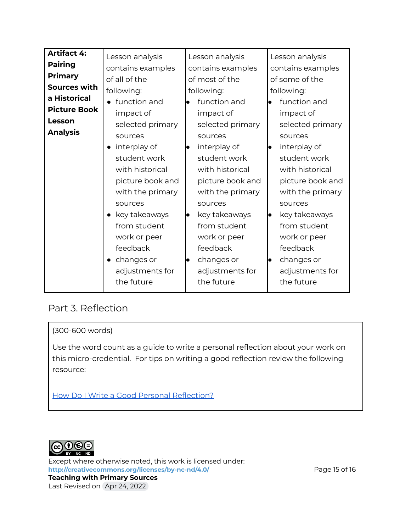| <b>Artifact 4:</b>  | Lesson analysis   | Lesson analysis     | Lesson analysis   |
|---------------------|-------------------|---------------------|-------------------|
| <b>Pairing</b>      | contains examples | contains examples   | contains examples |
| <b>Primary</b>      | of all of the     | of most of the      | of some of the    |
| Sources with        | following:        | following:          | following:        |
| a Historical        | function and      | function and        | function and      |
| <b>Picture Book</b> | impact of         | impact of           | impact of         |
| Lesson              | selected primary  | selected primary    | selected primary  |
| <b>Analysis</b>     | sources           | sources             | sources           |
|                     | interplay of      | interplay of<br>lo  | interplay of      |
|                     | student work      | student work        | student work      |
|                     | with historical   | with historical     | with historical   |
|                     | picture book and  | picture book and    | picture book and  |
|                     | with the primary  | with the primary    | with the primary  |
|                     | sources           | sources             | sources           |
|                     | • key takeaways   | key takeaways<br>lo | key takeaways     |
|                     | from student      | from student        | from student      |
|                     | work or peer      | work or peer        | work or peer      |
|                     | feedback          | feedback            | feedback          |
|                     | changes or        | changes or<br>lo    | changes or        |
|                     | adjustments for   | adjustments for     | adjustments for   |
|                     | the future        | the future          | the future        |
|                     |                   |                     |                   |

#### Part 3. Reflection

#### (300-600 words)

Use the word count as a guide to write a personal reflection about your work on this micro-credential. For tips on writing a good reflection review the following resource:

How Do I Write a Good Personal [Reflection?](https://isthismystory.com/learning/how-do-i-write-a-good-personal-reflection/)



Except where otherwise noted, this work is licensed under: <http://creativecommons.org/licenses/by-nc-nd/4.0/><br>
Page 15 of 16 **Teaching with Primary Sources**